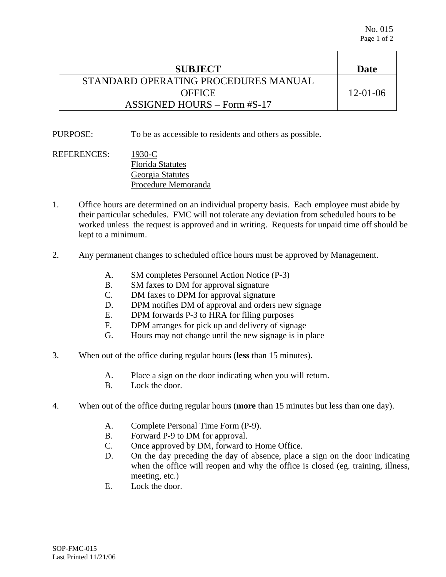| <b>SUBJECT</b>                       | Date           |
|--------------------------------------|----------------|
| STANDARD OPERATING PROCEDURES MANUAL |                |
| <b>OFFICE</b>                        | $12 - 01 - 06$ |
| $ASSIGNED$ HOURS – Form #S-17        |                |

PURPOSE: To be as accessible to residents and others as possible.

REFERENCES: 1930-C Florida Statutes Georgia Statutes Procedure Memoranda

- 1. Office hours are determined on an individual property basis. Each employee must abide by their particular schedules. FMC will not tolerate any deviation from scheduled hours to be worked unless the request is approved and in writing. Requests for unpaid time off should be kept to a minimum.
- 2. Any permanent changes to scheduled office hours must be approved by Management.
	- A. SM completes Personnel Action Notice (P-3)
	- B. SM faxes to DM for approval signature
	- C. DM faxes to DPM for approval signature
	- D. DPM notifies DM of approval and orders new signage
	- E. DPM forwards P-3 to HRA for filing purposes
	- F. DPM arranges for pick up and delivery of signage
	- G. Hours may not change until the new signage is in place
- 3. When out of the office during regular hours (**less** than 15 minutes).
	- A. Place a sign on the door indicating when you will return.
	- B. Lock the door.
- 4. When out of the office during regular hours (**more** than 15 minutes but less than one day).
	- A. Complete Personal Time Form (P-9).
	- B. Forward P-9 to DM for approval.
	- C. Once approved by DM, forward to Home Office.
	- D. On the day preceding the day of absence, place a sign on the door indicating when the office will reopen and why the office is closed (eg. training, illness, meeting, etc.)
	- E. Lock the door.